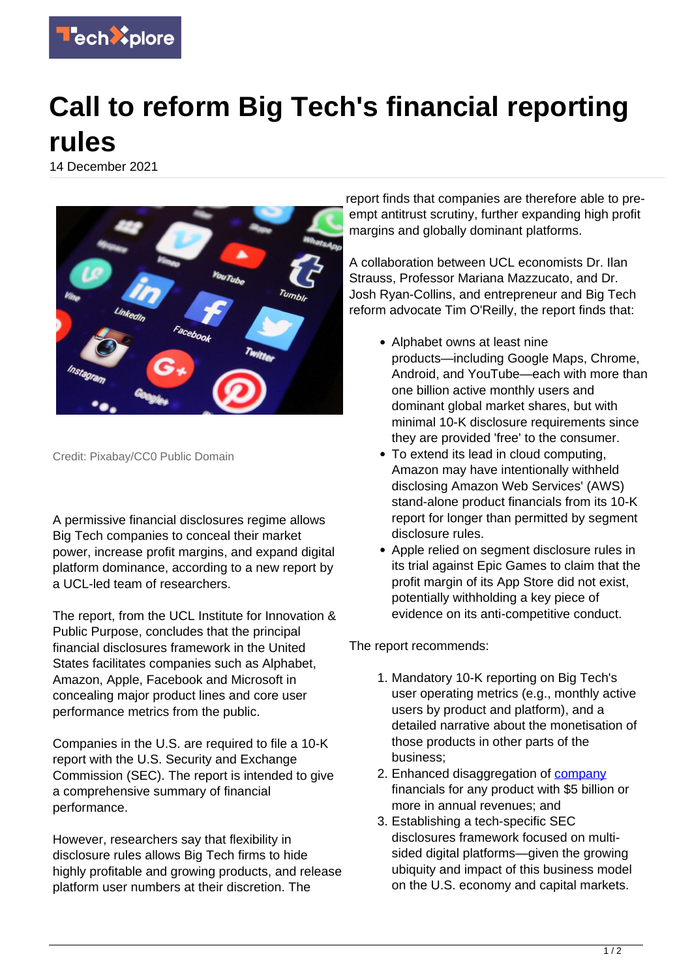

## **Call to reform Big Tech's financial reporting rules**

14 December 2021



Credit: Pixabay/CC0 Public Domain

A permissive financial disclosures regime allows Big Tech companies to conceal their market power, increase profit margins, and expand digital platform dominance, according to a new report by a UCL-led team of researchers.

The report, from the UCL Institute for Innovation & Public Purpose, concludes that the principal financial disclosures framework in the United States facilitates companies such as Alphabet, Amazon, Apple, Facebook and Microsoft in concealing major product lines and core user performance metrics from the public.

Companies in the U.S. are required to file a 10-K report with the U.S. Security and Exchange Commission (SEC). The report is intended to give a comprehensive summary of financial performance.

However, researchers say that flexibility in disclosure rules allows Big Tech firms to hide highly profitable and growing products, and release platform user numbers at their discretion. The

report finds that companies are therefore able to preempt antitrust scrutiny, further expanding high profit margins and globally dominant platforms.

A collaboration between UCL economists Dr. Ilan Strauss, Professor Mariana Mazzucato, and Dr. Josh Ryan-Collins, and entrepreneur and Big Tech reform advocate Tim O'Reilly, the report finds that:

- Alphabet owns at least nine products—including Google Maps, Chrome, Android, and YouTube—each with more than one billion active monthly users and dominant global market shares, but with minimal 10-K disclosure requirements since they are provided 'free' to the consumer.
- To extend its lead in cloud computing, Amazon may have intentionally withheld disclosing Amazon Web Services' (AWS) stand-alone product financials from its 10-K report for longer than permitted by segment disclosure rules.
- Apple relied on segment disclosure rules in its trial against Epic Games to claim that the profit margin of its App Store did not exist, potentially withholding a key piece of evidence on its anti-competitive conduct.

The report recommends:

- 1. Mandatory 10-K reporting on Big Tech's user operating metrics (e.g., monthly active users by product and platform), and a detailed narrative about the monetisation of those products in other parts of the business;
- 2. Enhanced disaggregation of [company](https://techxplore.com/tags/company/) financials for any product with \$5 billion or more in annual revenues; and
- 3. Establishing a tech-specific SEC disclosures framework focused on multisided digital platforms—given the growing ubiquity and impact of this business model on the U.S. economy and capital markets.